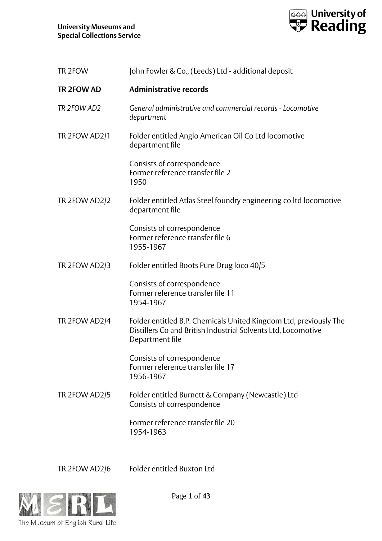

| TR 2FOW       | John Fowler & Co., (Leeds) Ltd - additional deposit                                                                                                   |
|---------------|-------------------------------------------------------------------------------------------------------------------------------------------------------|
| TR 2FOW AD    | <b>Administrative records</b>                                                                                                                         |
| TR 2FOW AD2   | General administrative and commercial records - Locomotive<br>department                                                                              |
| TR 2FOW AD2/1 | Folder entitled Anglo American Oil Co Ltd locomotive<br>department file                                                                               |
|               | Consists of correspondence<br>Former reference transfer file 2<br>1950                                                                                |
| TR 2FOW AD2/2 | Folder entitled Atlas Steel foundry engineering coltd locomotive<br>department file                                                                   |
|               | Consists of correspondence<br>Former reference transfer file 6<br>1955-1967                                                                           |
| TR 2FOW AD2/3 | Folder entitled Boots Pure Drug loco 40/5                                                                                                             |
|               | Consists of correspondence<br>Former reference transfer file 11<br>1954-1967                                                                          |
| TR 2FOW AD2/4 | Folder entitled B.P. Chemicals United Kingdom Ltd, previously The<br>Distillers Co and British Industrial Solvents Ltd, Locomotive<br>Department file |
|               | Consists of correspondence<br>Former reference transfer file 17<br>1956-1967                                                                          |
| TR 2FOW AD2/5 | Folder entitled Burnett & Company (Newcastle) Ltd<br>Consists of correspondence                                                                       |
|               | Former reference transfer file 20<br>1954-1963                                                                                                        |
|               |                                                                                                                                                       |

TR 2FOW AD2/6 Folder entitled Buxton Ltd



Page **1** of **43**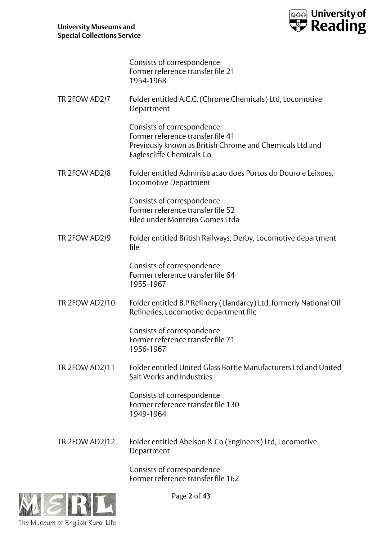

|                | Consists of correspondence<br>Former reference transfer file 21<br>1954-1968                                                                             |
|----------------|----------------------------------------------------------------------------------------------------------------------------------------------------------|
| TR 2FOW AD2/7  | Folder entitled A.C.C. (Chrome Chemicals) Ltd, Locomotive<br>Department                                                                                  |
|                | Consists of correspondence<br>Former reference transfer file 41<br>Previously known as British Chrome and Chemicals Ltd and<br>Eaglescliffe Chemicals Co |
| TR 2FOW AD2/8  | Folder entitled Administracao does Portos do Douro e Leixoes,<br>Locomotive Department                                                                   |
|                | Consists of correspondence<br>Former reference transfer file 52<br>Filed under Monteiro Gomes Ltda                                                       |
| TR 2FOW AD2/9  | Folder entitled British Railways, Derby, Locomotive department<br>file                                                                                   |
|                | Consists of correspondence<br>Former reference transfer file 64<br>1955-1967                                                                             |
| TR 2FOW AD2/10 | Folder entitled B.P Refinery (Llandarcy) Ltd, formerly National Oil<br>Refineries, Locomotive department file                                            |
|                | Consists of correspondence<br>Former reference transfer file 71<br>1956-1967                                                                             |
| TR 2FOW AD2/11 | Folder entitled United Glass Bottle Manufacturers Ltd and United<br>Salt Works and Industries                                                            |
|                | Consists of correspondence<br>Former reference transfer file 130<br>1949-1964                                                                            |
| TR 2FOW AD2/12 | Folder entitled Abelson & Co (Engineers) Ltd, Locomotive<br>Department                                                                                   |
|                |                                                                                                                                                          |

Consists of correspondence Former reference transfer file 162



Page **2** of **43**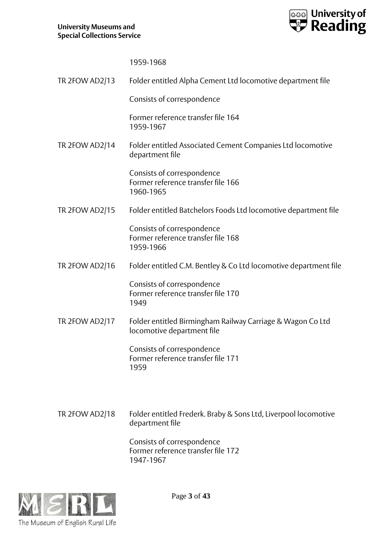

1959-1968

| TR 2FOW AD2/13        | Folder entitled Alpha Cement Ltd locomotive department file                              |
|-----------------------|------------------------------------------------------------------------------------------|
|                       | Consists of correspondence                                                               |
|                       | Former reference transfer file 164<br>1959-1967                                          |
| TR 2FOW AD2/14        | Folder entitled Associated Cement Companies Ltd locomotive<br>department file            |
|                       | Consists of correspondence<br>Former reference transfer file 166<br>1960-1965            |
| <b>TR 2FOW AD2/15</b> | Folder entitled Batchelors Foods Ltd locomotive department file                          |
|                       | Consists of correspondence<br>Former reference transfer file 168<br>1959-1966            |
| TR 2FOW AD2/16        | Folder entitled C.M. Bentley & Co Ltd locomotive department file                         |
|                       | Consists of correspondence<br>Former reference transfer file 170<br>1949                 |
| TR 2FOW AD2/17        | Folder entitled Birmingham Railway Carriage & Wagon Co Ltd<br>locomotive department file |
|                       | Consists of correspondence<br>Former reference transfer file 171<br>1959                 |
|                       |                                                                                          |
| TR 2FOW AD2/18        | Folder entitled Frederk. Braby & Sons Ltd, Liverpool locomotive<br>department file       |

Consists of correspondence Former reference transfer file 172 1947-1967



Page **3** of **43**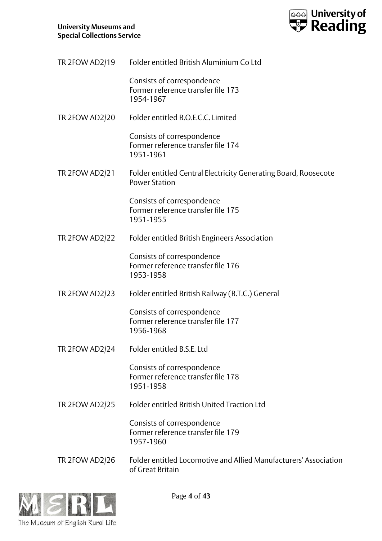

| TR 2FOW AD2/19        | Folder entitled British Aluminium Co Ltd                                                |
|-----------------------|-----------------------------------------------------------------------------------------|
|                       | Consists of correspondence<br>Former reference transfer file 173<br>1954-1967           |
| TR 2FOW AD2/20        | Folder entitled B.O.E.C.C. Limited                                                      |
|                       | Consists of correspondence<br>Former reference transfer file 174<br>1951-1961           |
| <b>TR 2FOW AD2/21</b> | Folder entitled Central Electricity Generating Board, Roosecote<br><b>Power Station</b> |
|                       | Consists of correspondence<br>Former reference transfer file 175<br>1951-1955           |
| <b>TR 2FOW AD2/22</b> | Folder entitled British Engineers Association                                           |
|                       | Consists of correspondence<br>Former reference transfer file 176<br>1953-1958           |
| <b>TR 2FOW AD2/23</b> | Folder entitled British Railway (B.T.C.) General                                        |
|                       | Consists of correspondence<br>Former reference transfer file 177<br>1956-1968           |
| <b>TR 2FOW AD2/24</b> | Folder entitled B.S.E. Ltd                                                              |
|                       | Consists of correspondence<br>Former reference transfer file 178<br>1951-1958           |
| <b>TR 2FOW AD2/25</b> | Folder entitled British United Traction Ltd                                             |
|                       | Consists of correspondence<br>Former reference transfer file 179<br>1957-1960           |
| <b>TR 2FOW AD2/26</b> | Folder entitled Locomotive and Allied Manufacturers' Association<br>of Great Britain    |



Page **4** of **43**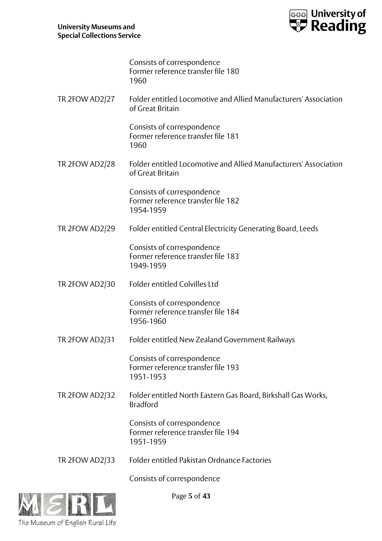

|                | Consists of correspondence<br>Former reference transfer file 180<br>1960             |
|----------------|--------------------------------------------------------------------------------------|
| TR 2FOW AD2/27 | Folder entitled Locomotive and Allied Manufacturers' Association<br>of Great Britain |
|                | Consists of correspondence<br>Former reference transfer file 181<br>1960             |
| TR 2FOW AD2/28 | Folder entitled Locomotive and Allied Manufacturers' Association<br>of Great Britain |
|                | Consists of correspondence<br>Former reference transfer file 182<br>1954-1959        |
| TR 2FOW AD2/29 | Folder entitled Central Electricity Generating Board, Leeds                          |
|                | Consists of correspondence<br>Former reference transfer file 183<br>1949-1959        |
| TR 2FOW AD2/30 | <b>Folder entitled Colvilles Ltd</b>                                                 |
|                | Consists of correspondence<br>Former reference transfer file 184<br>1956-1960        |
| TR 2FOW AD2/31 | Folder entitled New Zealand Government Railways                                      |
|                | Consists of correspondence<br>Former reference transfer file 193<br>1951-1953        |
| TR 2FOW AD2/32 | Folder entitled North Eastern Gas Board, Birkshall Gas Works,<br><b>Bradford</b>     |
|                | Consists of correspondence<br>Former reference transfer file 194<br>1951-1959        |
| TR 2FOW AD2/33 | Folder entitled Pakistan Ordnance Factories                                          |
|                | Consists of correspondence                                                           |



Page **5** of **43**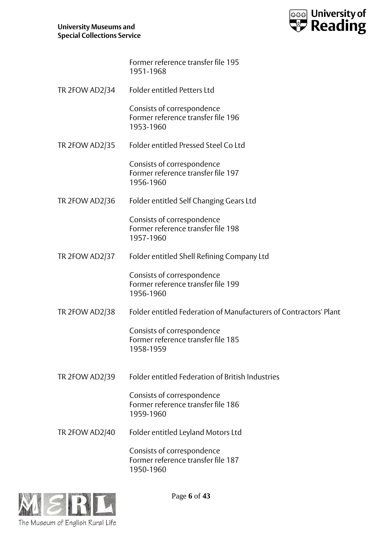

Former reference transfer file 195 1951-1968

TR 2FOW AD2/34 Folder entitled Petters Ltd

Consists of correspondence Former reference transfer file 196 1953-1960

TR 2FOW AD2/35 Folder entitled Pressed Steel Co Ltd

Consists of correspondence Former reference transfer file 197 1956-1960

TR 2FOW AD2/36 Folder entitled Self Changing Gears Ltd

Consists of correspondence Former reference transfer file 198 1957-1960

TR 2FOW AD2/37 Folder entitled Shell Refining Company Ltd

Consists of correspondence Former reference transfer file 199 1956-1960

TR 2FOW AD2/38 Folder entitled Federation of Manufacturers of Contractors' Plant

Consists of correspondence Former reference transfer file 185 1958-1959

TR 2FOW AD2/39 Folder entitled Federation of British Industries

Consists of correspondence Former reference transfer file 186 1959-1960

TR 2FOW AD2/40 Folder entitled Leyland Motors Ltd

Consists of correspondence Former reference transfer file 187 1950-1960



Page **6** of **43**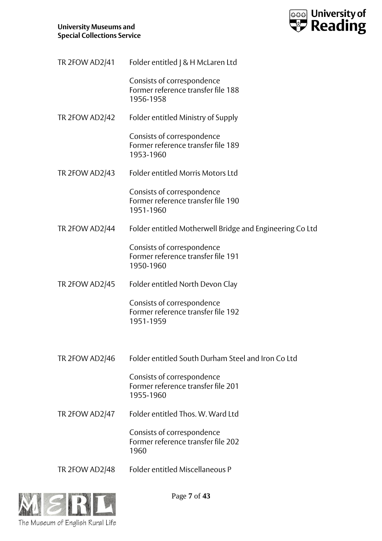

| TR 2FOW AD2/41        | Folder entitled   & H McLaren Ltd                                             |
|-----------------------|-------------------------------------------------------------------------------|
|                       | Consists of correspondence<br>Former reference transfer file 188<br>1956-1958 |
| TR 2FOW AD2/42        | Folder entitled Ministry of Supply                                            |
|                       | Consists of correspondence<br>Former reference transfer file 189<br>1953-1960 |
| TR 2FOW AD2/43        | Folder entitled Morris Motors Ltd                                             |
|                       | Consists of correspondence<br>Former reference transfer file 190<br>1951-1960 |
| <b>TR 2FOW AD2/44</b> | Folder entitled Motherwell Bridge and Engineering Co Ltd                      |
|                       | Consists of correspondence<br>Former reference transfer file 191<br>1950-1960 |
| TR 2FOW AD2/45        | Folder entitled North Devon Clay                                              |
|                       | Consists of correspondence<br>Former reference transfer file 192<br>1951-1959 |
| TR 2FOW AD2/46        | Folder entitled South Durham Steel and Iron Co Ltd                            |
|                       | Consists of correspondence<br>Former reference transfer file 201<br>1955-1960 |
| TR 2FOW AD2/47        | Folder entitled Thos. W. Ward Ltd                                             |
|                       | Consists of correspondence<br>Former reference transfer file 202<br>1960      |
| <b>TR 2FOW AD2/48</b> | Folder entitled Miscellaneous P                                               |



Page **7** of **43**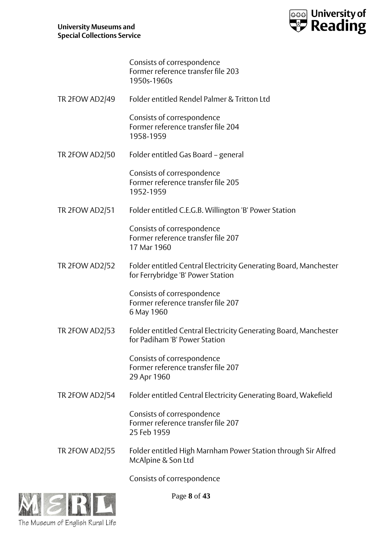

|                       | Consists of correspondence<br>Former reference transfer file 203<br>1950s-1960s                       |
|-----------------------|-------------------------------------------------------------------------------------------------------|
| TR 2FOW AD2/49        | Folder entitled Rendel Palmer & Tritton Ltd                                                           |
|                       | Consists of correspondence<br>Former reference transfer file 204<br>1958-1959                         |
| TR 2FOW AD2/50        | Folder entitled Gas Board - general                                                                   |
|                       | Consists of correspondence<br>Former reference transfer file 205<br>1952-1959                         |
| <b>TR 2FOW AD2/51</b> | Folder entitled C.E.G.B. Willington 'B' Power Station                                                 |
|                       | Consists of correspondence<br>Former reference transfer file 207<br>17 Mar 1960                       |
| <b>TR 2FOW AD2/52</b> | Folder entitled Central Electricity Generating Board, Manchester<br>for Ferrybridge 'B' Power Station |
|                       | Consists of correspondence<br>Former reference transfer file 207<br>6 May 1960                        |
| TR 2FOW AD2/53        | Folder entitled Central Electricity Generating Board, Manchester<br>for Padiham 'B' Power Station     |
|                       | Consists of correspondence<br>Former reference transfer file 207<br>29 Apr 1960                       |
| <b>TR 2FOW AD2/54</b> | Folder entitled Central Electricity Generating Board, Wakefield                                       |
|                       | Consists of correspondence<br>Former reference transfer file 207<br>25 Feb 1959                       |
| TR 2FOW AD2/55        | Folder entitled High Marnham Power Station through Sir Alfred<br>McAlpine & Son Ltd                   |
|                       |                                                                                                       |

Consists of correspondence



Page **8** of **43**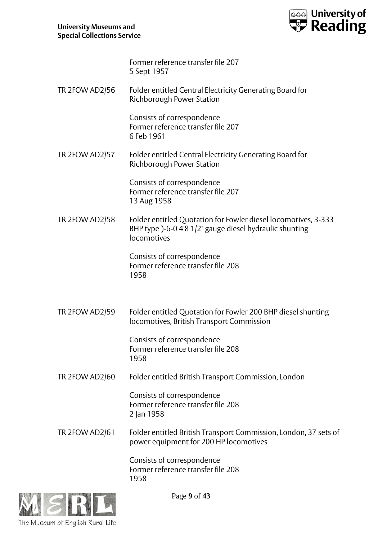

Former reference transfer file 207 5 Sept 1957

TR 2FOW AD2/56 Folder entitled Central Electricity Generating Board for Richborough Power Station

> Consists of correspondence Former reference transfer file 207 6 Feb 1961

TR 2FOW AD2/57 Folder entitled Central Electricity Generating Board for Richborough Power Station

> Consists of correspondence Former reference transfer file 207 13 Aug 1958

TR 2FOW AD2/58 Folder entitled Quotation for Fowler diesel locomotives, 3-333 BHP type )-6-0 4'8 1/2" gauge diesel hydraulic shunting locomotives

> Consists of correspondence Former reference transfer file 208 1958

TR 2FOW AD2/59 Folder entitled Quotation for Fowler 200 BHP diesel shunting locomotives, British Transport Commission

> Consists of correspondence Former reference transfer file 208 1958

TR 2FOW AD2/60 Folder entitled British Transport Commission, London

Consists of correspondence Former reference transfer file 208 2 Jan 1958

TR 2FOW AD2/61 Folder entitled British Transport Commission, London, 37 sets of power equipment for 200 HP locomotives

> Consists of correspondence Former reference transfer file 208 1958



Page **9** of **43**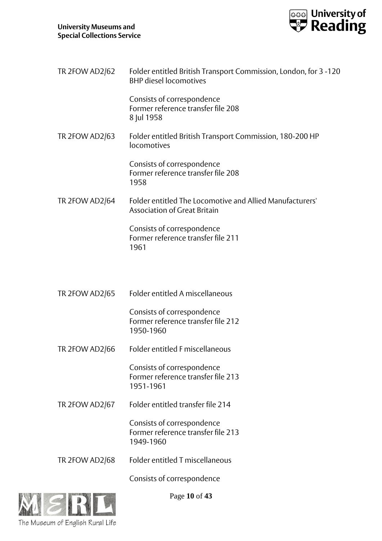

| <b>TR 2FOW AD2/62</b> | Folder entitled British Transport Commission, London, for 3 -120<br><b>BHP</b> diesel locomotives |
|-----------------------|---------------------------------------------------------------------------------------------------|
|                       | Consists of correspondence<br>Former reference transfer file 208<br>8 Jul 1958                    |
| TR 2FOW AD2/63        | Folder entitled British Transport Commission, 180-200 HP<br>locomotives                           |
|                       | Consists of correspondence<br>Former reference transfer file 208<br>1958                          |
| <b>TR 2FOW AD2/64</b> | Folder entitled The Locomotive and Allied Manufacturers'<br><b>Association of Great Britain</b>   |
|                       | Consists of correspondence<br>Former reference transfer file 211<br>1961                          |
|                       |                                                                                                   |
| TR 2FOW AD2/65        | Folder entitled A miscellaneous                                                                   |
|                       | Consists of correspondence<br>Former reference transfer file 212<br>1950-1960                     |
| <b>TR 2FOW AD2/66</b> | Folder entitled F miscellaneous                                                                   |
|                       | Consists of correspondence<br>Former reference transfer file 213<br>1951-1961                     |
| <b>TR 2FOW AD2/67</b> | Folder entitled transfer file 214                                                                 |
|                       | Consists of correspondence<br>Former reference transfer file 213<br>1949-1960                     |

TR 2FOW AD2/68 Folder entitled T miscellaneous

Consists of correspondence



Page **10** of **43**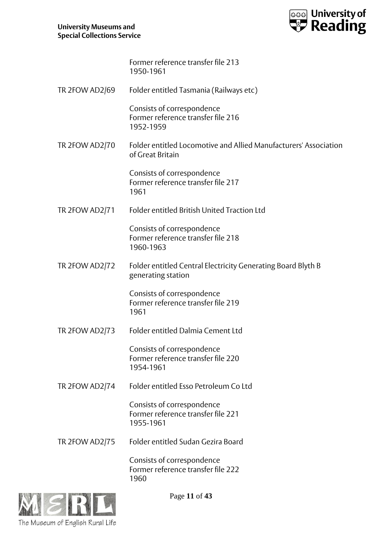

|                | Former reference transfer file 213<br>1950-1961                                      |
|----------------|--------------------------------------------------------------------------------------|
| TR 2FOW AD2/69 | Folder entitled Tasmania (Railways etc)                                              |
|                | Consists of correspondence<br>Former reference transfer file 216<br>1952-1959        |
| TR 2FOW AD2/70 | Folder entitled Locomotive and Allied Manufacturers' Association<br>of Great Britain |
|                | Consists of correspondence<br>Former reference transfer file 217<br>1961             |
| TR 2FOW AD2/71 | Folder entitled British United Traction Ltd                                          |
|                | Consists of correspondence<br>Former reference transfer file 218<br>1960-1963        |
| TR 2FOW AD2/72 | Folder entitled Central Electricity Generating Board Blyth B<br>generating station   |
|                | Consists of correspondence<br>Former reference transfer file 219<br>1961             |
| TR 2FOW AD2/73 | Folder entitled Dalmia Cement Ltd                                                    |
|                | Consists of correspondence<br>Former reference transfer file 220<br>1954-1961        |
| TR 2FOW AD2/74 | Folder entitled Esso Petroleum Co Ltd                                                |
|                | Consists of correspondence<br>Former reference transfer file 221<br>1955-1961        |
| TR 2FOW AD2/75 | Folder entitled Sudan Gezira Board                                                   |
|                | Consists of correspondence<br>Former reference transfer file 222<br>1960             |



Page **11** of **43**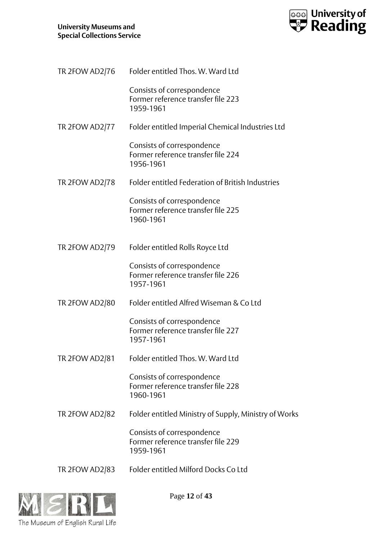

| TR 2FOW AD2/76        | Folder entitled Thos. W. Ward Ltd                                             |
|-----------------------|-------------------------------------------------------------------------------|
|                       | Consists of correspondence<br>Former reference transfer file 223<br>1959-1961 |
| TR 2FOW AD2/77        | Folder entitled Imperial Chemical Industries Ltd                              |
|                       | Consists of correspondence<br>Former reference transfer file 224<br>1956-1961 |
| TR 2FOW AD2/78        | Folder entitled Federation of British Industries                              |
|                       | Consists of correspondence<br>Former reference transfer file 225<br>1960-1961 |
| TR 2FOW AD2/79        | Folder entitled Rolls Royce Ltd                                               |
|                       | Consists of correspondence<br>Former reference transfer file 226<br>1957-1961 |
| <b>TR 2FOW AD2/80</b> | Folder entitled Alfred Wiseman & Co Ltd                                       |
|                       | Consists of correspondence<br>Former reference transfer file 227<br>1957-1961 |
| <b>TR 2FOW AD2/81</b> | Folder entitled Thos. W. Ward Ltd                                             |
|                       | Consists of correspondence<br>Former reference transfer file 228<br>1960-1961 |
| <b>TR 2FOW AD2/82</b> | Folder entitled Ministry of Supply, Ministry of Works                         |
|                       | Consists of correspondence<br>Former reference transfer file 229<br>1959-1961 |
| TR 2FOW AD2/83        | Folder entitled Milford Docks Co Ltd                                          |



Page **12** of **43**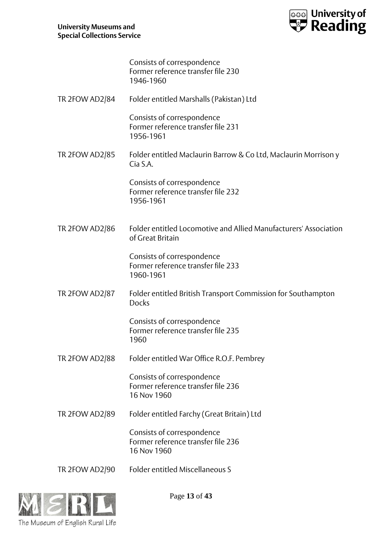

|                       | Consists of correspondence<br>Former reference transfer file 230<br>1946-1960        |
|-----------------------|--------------------------------------------------------------------------------------|
| TR 2FOW AD2/84        | Folder entitled Marshalls (Pakistan) Ltd                                             |
|                       | Consists of correspondence<br>Former reference transfer file 231<br>1956-1961        |
| <b>TR 2FOW AD2/85</b> | Folder entitled Maclaurin Barrow & Co Ltd, Maclaurin Morrison y<br>Cia S.A.          |
|                       | Consists of correspondence<br>Former reference transfer file 232<br>1956-1961        |
| TR 2FOW AD2/86        | Folder entitled Locomotive and Allied Manufacturers' Association<br>of Great Britain |
|                       | Consists of correspondence<br>Former reference transfer file 233<br>1960-1961        |
| <b>TR 2FOW AD2/87</b> | Folder entitled British Transport Commission for Southampton<br><b>Docks</b>         |
|                       | Consists of correspondence<br>Former reference transfer file 235<br>1960             |
| TR 2FOW AD2/88        | Folder entitled War Office R.O.F. Pembrey                                            |
|                       | Consists of correspondence<br>Former reference transfer file 236<br>16 Nov 1960      |
| TR 2FOW AD2/89        | Folder entitled Farchy (Great Britain) Ltd                                           |
|                       | Consists of correspondence<br>Former reference transfer file 236<br>16 Nov 1960      |
| TR 2FOW AD2/90        | <b>Folder entitled Miscellaneous S</b>                                               |



Page **13** of **43**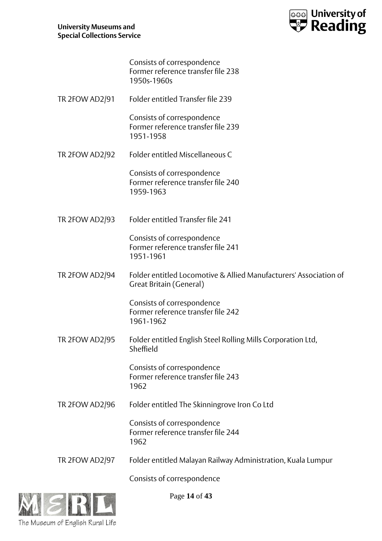

|                       | Consists of correspondence<br>Former reference transfer file 238<br>1950s-1960s              |
|-----------------------|----------------------------------------------------------------------------------------------|
| TR 2FOW AD2/91        | Folder entitled Transfer file 239                                                            |
|                       | Consists of correspondence<br>Former reference transfer file 239<br>1951-1958                |
| <b>TR 2FOW AD2/92</b> | Folder entitled Miscellaneous C                                                              |
|                       | Consists of correspondence<br>Former reference transfer file 240<br>1959-1963                |
| <b>TR 2FOW AD2/93</b> | Folder entitled Transfer file 241                                                            |
|                       | Consists of correspondence<br>Former reference transfer file 241<br>1951-1961                |
| <b>TR 2FOW AD2/94</b> | Folder entitled Locomotive & Allied Manufacturers' Association of<br>Great Britain (General) |
|                       | Consists of correspondence<br>Former reference transfer file 242<br>1961-1962                |
| <b>TR 2FOW AD2/95</b> | Folder entitled English Steel Rolling Mills Corporation Ltd,<br>Sheffield                    |
|                       | Consists of correspondence<br>Former reference transfer file 243<br>1962                     |
| <b>TR 2FOW AD2/96</b> | Folder entitled The Skinningrove Iron Co Ltd                                                 |
|                       | Consists of correspondence<br>Former reference transfer file 244<br>1962                     |
| <b>TR 2FOW AD2/97</b> | Folder entitled Malayan Railway Administration, Kuala Lumpur                                 |
|                       | Consists of correspondence                                                                   |
|                       |                                                                                              |



Page **14** of **43**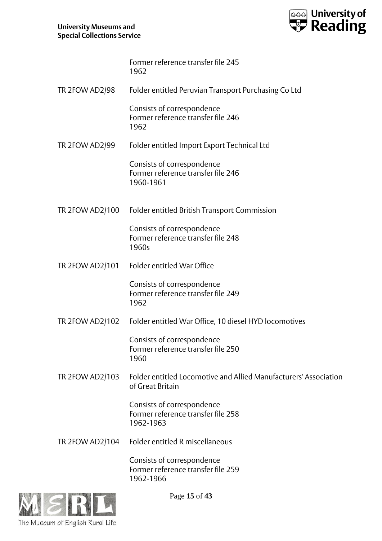

| Former reference transfer file 245 |  |
|------------------------------------|--|
| 1962                               |  |

TR 2FOW AD2/98 Folder entitled Peruvian Transport Purchasing Co Ltd

Consists of correspondence Former reference transfer file 246 1962

TR 2FOW AD2/99 Folder entitled Import Export Technical Ltd

Consists of correspondence Former reference transfer file 246 1960-1961

TR 2FOW AD2/100 Folder entitled British Transport Commission

Consists of correspondence Former reference transfer file 248 1960s

TR 2FOW AD2/101 Folder entitled War Office

Consists of correspondence Former reference transfer file 249 1962

TR 2FOW AD2/102 Folder entitled War Office, 10 diesel HYD locomotives

Consists of correspondence Former reference transfer file 250 1960

TR 2FOW AD2/103 Folder entitled Locomotive and Allied Manufacturers' Association of Great Britain

> Consists of correspondence Former reference transfer file 258 1962-1963

TR 2FOW AD2/104 Folder entitled R miscellaneous

Consists of correspondence Former reference transfer file 259 1962-1966



Page **15** of **43**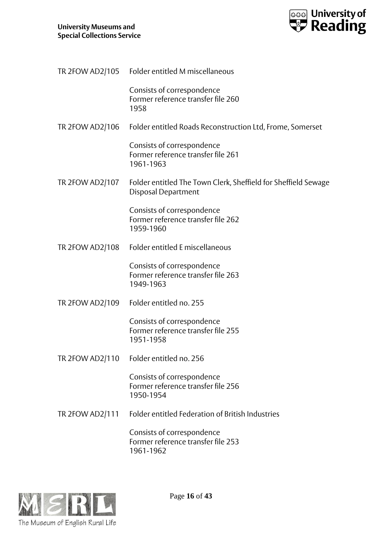

|                 | TR 2FOW AD2/105 Folder entitled M miscellaneous                                              |
|-----------------|----------------------------------------------------------------------------------------------|
|                 | Consists of correspondence<br>Former reference transfer file 260<br>1958                     |
| TR 2FOW AD2/106 | Folder entitled Roads Reconstruction Ltd, Frome, Somerset                                    |
|                 | Consists of correspondence<br>Former reference transfer file 261<br>1961-1963                |
| TR 2FOW AD2/107 | Folder entitled The Town Clerk, Sheffield for Sheffield Sewage<br><b>Disposal Department</b> |
|                 | Consists of correspondence<br>Former reference transfer file 262<br>1959-1960                |
| TR 2FOW AD2/108 | Folder entitled E miscellaneous                                                              |
|                 | Consists of correspondence<br>Former reference transfer file 263<br>1949-1963                |
| TR 2FOW AD2/109 | Folder entitled no. 255                                                                      |
|                 | Consists of correspondence<br>Former reference transfer file 255<br>1951-1958                |
| TR 2FOW AD2/110 | Folder entitled no. 256                                                                      |
|                 | Consists of correspondence<br>Former reference transfer file 256<br>1950-1954                |
| TR 2FOW AD2/111 | Folder entitled Federation of British Industries                                             |
|                 | Consists of correspondence<br>Former reference transfer file 253<br>1961-1962                |



Page **16** of **43**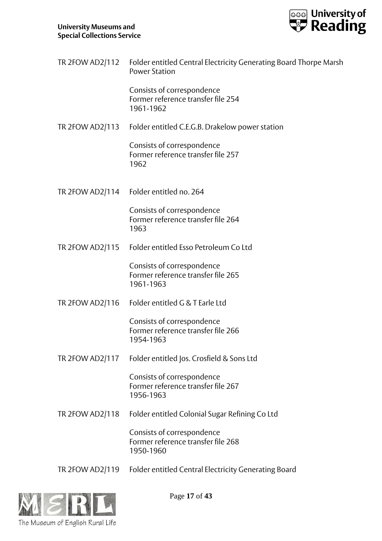

| TR 2FOW AD2/112 | Folder entitled Central Electricity Generating Board Thorpe Marsh<br><b>Power Station</b> |
|-----------------|-------------------------------------------------------------------------------------------|
|                 | Consists of correspondence<br>Former reference transfer file 254<br>1961-1962             |
| TR 2FOW AD2/113 | Folder entitled C.E.G.B. Drakelow power station                                           |
|                 | Consists of correspondence<br>Former reference transfer file 257<br>1962                  |
| TR 2FOW AD2/114 | Folder entitled no. 264                                                                   |
|                 | Consists of correspondence<br>Former reference transfer file 264<br>1963                  |
| TR 2FOW AD2/115 | Folder entitled Esso Petroleum Co Ltd                                                     |
|                 | Consists of correspondence<br>Former reference transfer file 265<br>1961-1963             |
| TR 2FOW AD2/116 | Folder entitled G & T Earle Ltd                                                           |
|                 | Consists of correspondence<br>Former reference transfer file 266<br>1954-1963             |
| TR 2FOW AD2/117 | Folder entitled Jos. Crosfield & Sons Ltd                                                 |
|                 | Consists of correspondence<br>Former reference transfer file 267<br>1956-1963             |
| TR 2FOW AD2/118 | Folder entitled Colonial Sugar Refining Co Ltd                                            |
|                 | Consists of correspondence<br>Former reference transfer file 268<br>1950-1960             |
| TR 2FOW AD2/119 | Folder entitled Central Electricity Generating Board                                      |



Page **17** of **43**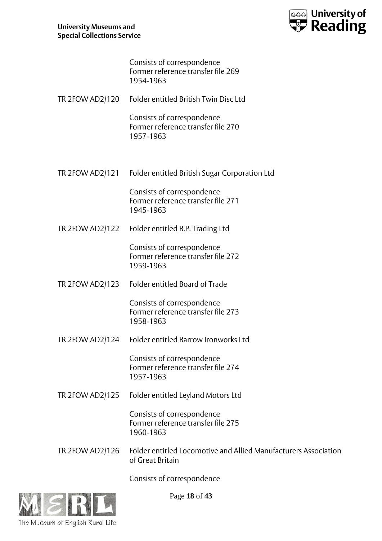

Consists of correspondence Former reference transfer file 269 1954-1963

TR 2FOW AD2/120 Folder entitled British Twin Disc Ltd

Consists of correspondence Former reference transfer file 270 1957-1963

TR 2FOW AD2/121 Folder entitled British Sugar Corporation Ltd

Consists of correspondence Former reference transfer file 271 1945-1963

TR 2FOW AD2/122 Folder entitled B.P. Trading Ltd

Consists of correspondence Former reference transfer file 272 1959-1963

TR 2FOW AD2/123 Folder entitled Board of Trade

Consists of correspondence Former reference transfer file 273 1958-1963

TR 2FOW AD2/124 Folder entitled Barrow Ironworks Ltd

Consists of correspondence Former reference transfer file 274 1957-1963

TR 2FOW AD2/125 Folder entitled Leyland Motors Ltd

Consists of correspondence Former reference transfer file 275 1960-1963

TR 2FOW AD2/126 Folder entitled Locomotive and Allied Manufacturers Association of Great Britain

Consists of correspondence



Page **18** of **43**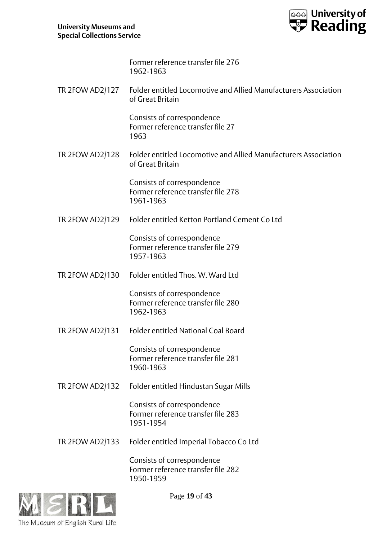

Former reference transfer file 276 1962-1963

TR 2FOW AD2/127 Folder entitled Locomotive and Allied Manufacturers Association of Great Britain

> Consists of correspondence Former reference transfer file 27 1963

TR 2FOW AD2/128 Folder entitled Locomotive and Allied Manufacturers Association of Great Britain

> Consists of correspondence Former reference transfer file 278 1961-1963

TR 2FOW AD2/129 Folder entitled Ketton Portland Cement Co Ltd

Consists of correspondence Former reference transfer file 279 1957-1963

TR 2FOW AD2/130 Folder entitled Thos. W. Ward Ltd

Consists of correspondence Former reference transfer file 280 1962-1963

TR 2FOW AD2/131 Folder entitled National Coal Board

Consists of correspondence Former reference transfer file 281 1960-1963

TR 2FOW AD2/132 Folder entitled Hindustan Sugar Mills

Consists of correspondence Former reference transfer file 283 1951-1954

TR 2FOW AD2/133 Folder entitled Imperial Tobacco Co Ltd

Consists of correspondence Former reference transfer file 282 1950-1959



Page **19** of **43**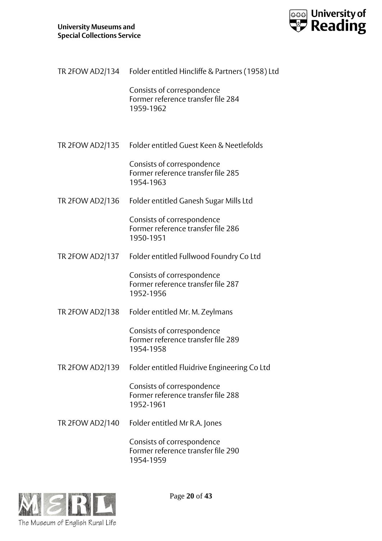

|                 | TR 2FOW AD2/134 Folder entitled Hincliffe & Partners (1958) Ltd               |
|-----------------|-------------------------------------------------------------------------------|
|                 | Consists of correspondence<br>Former reference transfer file 284<br>1959-1962 |
|                 |                                                                               |
| TR 2FOW AD2/135 | Folder entitled Guest Keen & Neetlefolds                                      |
|                 | Consists of correspondence<br>Former reference transfer file 285<br>1954-1963 |
| TR 2FOW AD2/136 | Folder entitled Ganesh Sugar Mills Ltd                                        |
|                 | Consists of correspondence<br>Former reference transfer file 286<br>1950-1951 |
| TR 2FOW AD2/137 | Folder entitled Fullwood Foundry Co Ltd                                       |
|                 | Consists of correspondence<br>Former reference transfer file 287<br>1952-1956 |
| TR 2FOW AD2/138 | Folder entitled Mr. M. Zeylmans                                               |
|                 | Consists of correspondence<br>Former reference transfer file 289<br>1954-1958 |
| TR 2FOW AD2/139 | Folder entitled Fluidrive Engineering Co Ltd                                  |
|                 | Consists of correspondence<br>Former reference transfer file 288<br>1952-1961 |
| TR 2FOW AD2/140 | Folder entitled Mr R.A. Jones                                                 |
|                 | Consists of correspondence<br>Former reference transfer file 290<br>1954-1959 |



Page **20** of **43**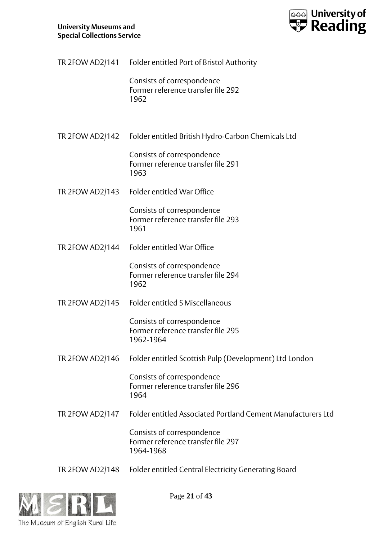

|                 | TR 2FOW AD2/141 Folder entitled Port of Bristol Authority                     |
|-----------------|-------------------------------------------------------------------------------|
|                 | Consists of correspondence<br>Former reference transfer file 292<br>1962      |
|                 |                                                                               |
| TR 2FOW AD2/142 | Folder entitled British Hydro-Carbon Chemicals Ltd                            |
|                 | Consists of correspondence<br>Former reference transfer file 291<br>1963      |
| TR 2FOW AD2/143 | Folder entitled War Office                                                    |
|                 | Consists of correspondence<br>Former reference transfer file 293<br>1961      |
| TR 2FOW AD2/144 | Folder entitled War Office                                                    |
|                 | Consists of correspondence<br>Former reference transfer file 294<br>1962      |
| TR 2FOW AD2/145 | Folder entitled S Miscellaneous                                               |
|                 | Consists of correspondence<br>Former reference transfer file 295<br>1962-1964 |
| TR 2FOW AD2/146 | Folder entitled Scottish Pulp (Development) Ltd London                        |
|                 | Consists of correspondence<br>Former reference transfer file 296<br>1964      |
| TR 2FOW AD2/147 | Folder entitled Associated Portland Cement Manufacturers Ltd                  |
|                 | Consists of correspondence<br>Former reference transfer file 297<br>1964-1968 |
| TR 2FOW AD2/148 | Folder entitled Central Electricity Generating Board                          |

The Museum of English Rural Life

Page **21** of **43**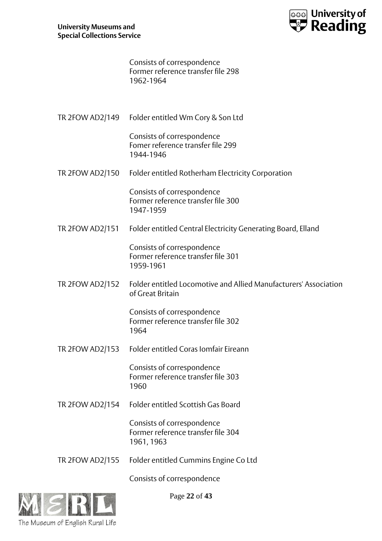

Consists of correspondence Former reference transfer file 298 1962-1964

TR 2FOW AD2/149 Folder entitled Wm Cory & Son Ltd

Consists of correspondence Fomer reference transfer file 299 1944-1946

TR 2FOW AD2/150 Folder entitled Rotherham Electricity Corporation

Consists of correspondence Former reference transfer file 300 1947-1959

TR 2FOW AD2/151 Folder entitled Central Electricity Generating Board, Elland

Consists of correspondence Former reference transfer file 301 1959-1961

TR 2FOW AD2/152 Folder entitled Locomotive and Allied Manufacturers' Association of Great Britain

> Consists of correspondence Former reference transfer file 302 1964

TR 2FOW AD2/153 Folder entitled Coras Iomfair Eireann

Consists of correspondence Former reference transfer file 303 1960

TR 2FOW AD2/154 Folder entitled Scottish Gas Board

Consists of correspondence Former reference transfer file 304 1961, 1963

TR 2FOW AD2/155 Folder entitled Cummins Engine Co Ltd

Consists of correspondence



Page **22** of **43**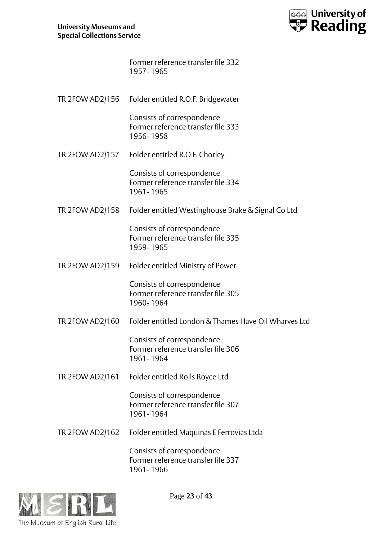

Former reference transfer file 332 1957- 1965

TR 2FOW AD2/156 Folder entitled R.O.F. Bridgewater

Consists of correspondence Former reference transfer file 333 1956- 1958

TR 2FOW AD2/157 Folder entitled R.O.F. Chorley

Consists of correspondence Former reference transfer file 334 1961- 1965

TR 2FOW AD2/158 Folder entitled Westinghouse Brake & Signal Co Ltd

Consists of correspondence Former reference transfer file 335 1959- 1965

TR 2FOW AD2/159 Folder entitled Ministry of Power

Consists of correspondence Former reference transfer file 305 1960- 1964

TR 2FOW AD2/160 Folder entitled London & Thames Have Oil Wharves Ltd

Consists of correspondence Former reference transfer file 306 1961- 1964

TR 2FOW AD2/161 Folder entitled Rolls Royce Ltd

Consists of correspondence Former reference transfer file 307 1961- 1964

TR 2FOW AD2/162 Folder entitled Maquinas E Ferrovias Ltda

Consists of correspondence Former reference transfer file 337 1961- 1966



Page **23** of **43**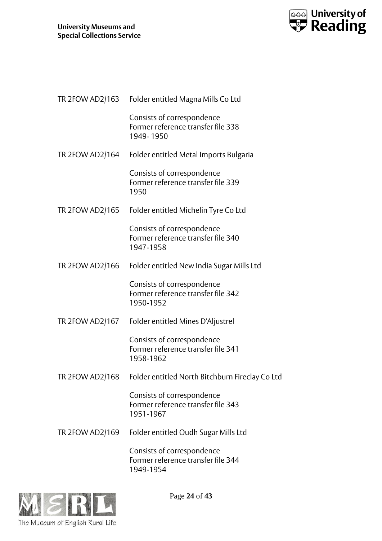

|                 | TR 2FOW AD2/163 Folder entitled Magna Mills Co Ltd                            |
|-----------------|-------------------------------------------------------------------------------|
|                 | Consists of correspondence<br>Former reference transfer file 338<br>1949-1950 |
| TR 2FOW AD2/164 | Folder entitled Metal Imports Bulgaria                                        |
|                 | Consists of correspondence<br>Former reference transfer file 339<br>1950      |
| TR 2FOW AD2/165 | Folder entitled Michelin Tyre Co Ltd                                          |
|                 | Consists of correspondence<br>Former reference transfer file 340<br>1947-1958 |
| TR 2FOW AD2/166 | Folder entitled New India Sugar Mills Ltd                                     |
|                 | Consists of correspondence<br>Former reference transfer file 342<br>1950-1952 |
| TR 2FOW AD2/167 | Folder entitled Mines D'Aljustrel                                             |
|                 | Consists of correspondence<br>Former reference transfer file 341<br>1958-1962 |
| TR 2FOW AD2/168 | Folder entitled North Bitchburn Fireclay Co Ltd                               |
|                 | Consists of correspondence<br>Former reference transfer file 343<br>1951-1967 |
| TR 2FOW AD2/169 | Folder entitled Oudh Sugar Mills Ltd                                          |
|                 | Consists of correspondence<br>Former reference transfer file 344<br>1949-1954 |



Page **24** of **43**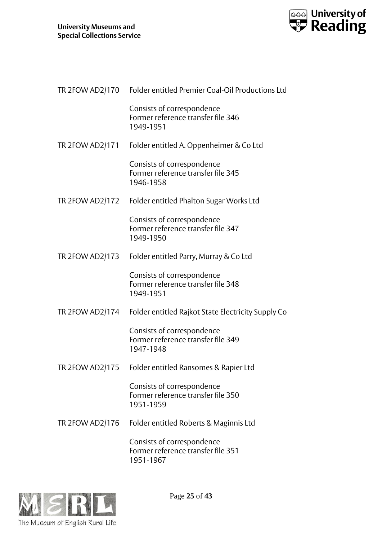

|                 | TR 2FOW AD2/170 Folder entitled Premier Coal-Oil Productions Ltd              |
|-----------------|-------------------------------------------------------------------------------|
|                 | Consists of correspondence<br>Former reference transfer file 346<br>1949-1951 |
| TR 2FOW AD2/171 | Folder entitled A. Oppenheimer & Co Ltd                                       |
|                 | Consists of correspondence<br>Former reference transfer file 345<br>1946-1958 |
| TR 2FOW AD2/172 | Folder entitled Phalton Sugar Works Ltd                                       |
|                 | Consists of correspondence<br>Former reference transfer file 347<br>1949-1950 |
| TR 2FOW AD2/173 | Folder entitled Parry, Murray & Co Ltd                                        |
|                 | Consists of correspondence<br>Former reference transfer file 348<br>1949-1951 |
| TR 2FOW AD2/174 | Folder entitled Rajkot State Electricity Supply Co                            |
|                 | Consists of correspondence<br>Former reference transfer file 349<br>1947-1948 |
| TR 2FOW AD2/175 | Folder entitled Ransomes & Rapier Ltd                                         |
|                 | Consists of correspondence<br>Former reference transfer file 350<br>1951-1959 |
| TR 2FOW AD2/176 | Folder entitled Roberts & Maginnis Ltd                                        |
|                 | Consists of correspondence<br>Former reference transfer file 351<br>1951-1967 |



Page **25** of **43**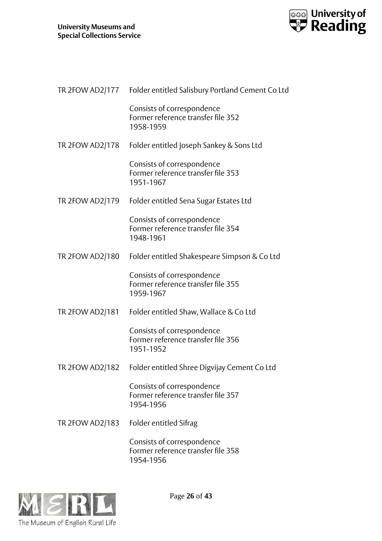

|                 | TR 2FOW AD2/177 Folder entitled Salisbury Portland Cement Co Ltd              |
|-----------------|-------------------------------------------------------------------------------|
|                 | Consists of correspondence<br>Former reference transfer file 352<br>1958-1959 |
| TR 2FOW AD2/178 | Folder entitled Joseph Sankey & Sons Ltd                                      |
|                 | Consists of correspondence<br>Former reference transfer file 353<br>1951-1967 |
| TR 2FOW AD2/179 | Folder entitled Sena Sugar Estates Ltd                                        |
|                 | Consists of correspondence<br>Former reference transfer file 354<br>1948-1961 |
| TR 2FOW AD2/180 | Folder entitled Shakespeare Simpson & Co Ltd                                  |
|                 | Consists of correspondence<br>Former reference transfer file 355<br>1959-1967 |
| TR 2FOW AD2/181 | Folder entitled Shaw, Wallace & Co Ltd                                        |
|                 | Consists of correspondence<br>Former reference transfer file 356<br>1951-1952 |
| TR 2FOW AD2/182 | Folder entitled Shree Digvijay Cement Co Ltd                                  |
|                 | Consists of correspondence<br>Former reference transfer file 357<br>1954-1956 |
| TR 2FOW AD2/183 | <b>Folder entitled Sifrag</b>                                                 |
|                 | Consists of correspondence<br>Former reference transfer file 358              |



The Museum of English Rural Life

Page **26** of **43**

1954-1956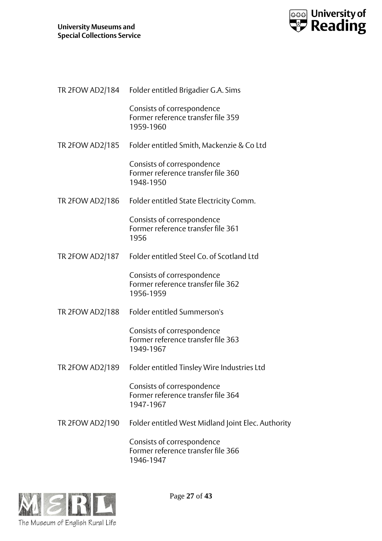

|                 | TR 2FOW AD2/184 Folder entitled Brigadier G.A. Sims                           |
|-----------------|-------------------------------------------------------------------------------|
|                 | Consists of correspondence<br>Former reference transfer file 359<br>1959-1960 |
| TR 2FOW AD2/185 | Folder entitled Smith, Mackenzie & Co Ltd                                     |
|                 | Consists of correspondence<br>Former reference transfer file 360<br>1948-1950 |
| TR 2FOW AD2/186 | Folder entitled State Electricity Comm.                                       |
|                 | Consists of correspondence<br>Former reference transfer file 361<br>1956      |
|                 | TR 2FOW AD2/187 Folder entitled Steel Co. of Scotland Ltd                     |
|                 | Consists of correspondence<br>Former reference transfer file 362<br>1956-1959 |
| TR 2FOW AD2/188 | Folder entitled Summerson's                                                   |
|                 | Consists of correspondence<br>Former reference transfer file 363<br>1949-1967 |
| TR 2FOW AD2/189 | Folder entitled Tinsley Wire Industries Ltd                                   |
|                 | Consists of correspondence<br>Former reference transfer file 364<br>1947-1967 |
| TR 2FOW AD2/190 | Folder entitled West Midland Joint Elec. Authority                            |
|                 | Consists of correspondence<br>Former reference transfer file 366<br>1946-1947 |



Page **27** of **43**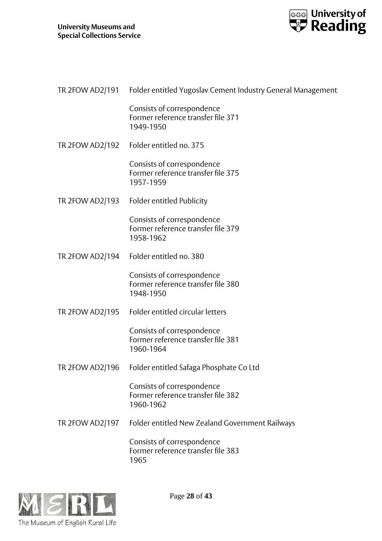

|                 | TR 2FOW AD2/191 Folder entitled Yugoslav Cement Industry General Management   |
|-----------------|-------------------------------------------------------------------------------|
|                 | Consists of correspondence<br>Former reference transfer file 371<br>1949-1950 |
|                 | TR 2FOW AD2/192 Folder entitled no. 375                                       |
|                 | Consists of correspondence<br>Former reference transfer file 375<br>1957-1959 |
| TR 2FOW AD2/193 | Folder entitled Publicity                                                     |
|                 | Consists of correspondence<br>Former reference transfer file 379<br>1958-1962 |
|                 | TR 2FOW AD2/194 Folder entitled no. 380                                       |
|                 | Consists of correspondence<br>Former reference transfer file 380<br>1948-1950 |
| TR 2FOW AD2/195 | Folder entitled circular letters                                              |
|                 | Consists of correspondence<br>Former reference transfer file 381<br>1960-1964 |
| TR 2FOW AD2/196 | Folder entitled Safaga Phosphate Co Ltd                                       |
|                 | Consists of correspondence<br>Former reference transfer file 382<br>1960-1962 |
| TR 2FOW AD2/197 | Folder entitled New Zealand Government Railways                               |
|                 | Consists of correspondence<br>Former reference transfer file 383<br>1965      |
|                 |                                                                               |



Page **28** of **43**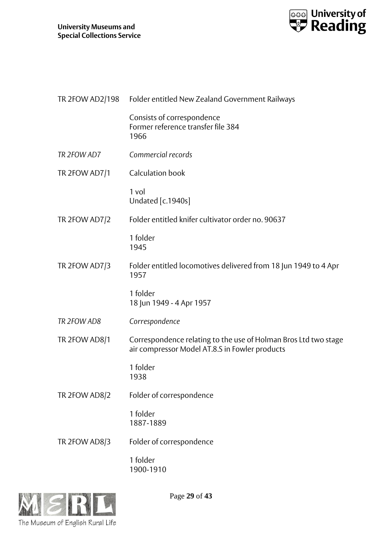

| TR 2FOW AD2/198 | Folder entitled New Zealand Government Railways                                                                   |
|-----------------|-------------------------------------------------------------------------------------------------------------------|
|                 | Consists of correspondence<br>Former reference transfer file 384<br>1966                                          |
| TR 2FOW AD7     | Commercial records                                                                                                |
| TR 2FOW AD7/1   | Calculation book                                                                                                  |
|                 | 1 vol<br>Undated [c.1940s]                                                                                        |
| TR 2FOW AD7/2   | Folder entitled knifer cultivator order no. 90637                                                                 |
|                 | 1 folder<br>1945                                                                                                  |
| TR 2FOW AD7/3   | Folder entitled locomotives delivered from 18 Jun 1949 to 4 Apr<br>1957                                           |
|                 | 1 folder<br>18 Jun 1949 - 4 Apr 1957                                                                              |
| TR 2FOW AD8     | Correspondence                                                                                                    |
| TR 2FOW AD8/1   | Correspondence relating to the use of Holman Bros Ltd two stage<br>air compressor Model AT.8.S in Fowler products |
|                 | 1 folder<br>1938                                                                                                  |
| TR 2FOW AD8/2   | Folder of correspondence                                                                                          |
|                 | 1 folder<br>1887-1889                                                                                             |
| TR 2FOW AD8/3   | Folder of correspondence                                                                                          |
|                 | 1 folder<br>1900-1910                                                                                             |



Page **29** of **43**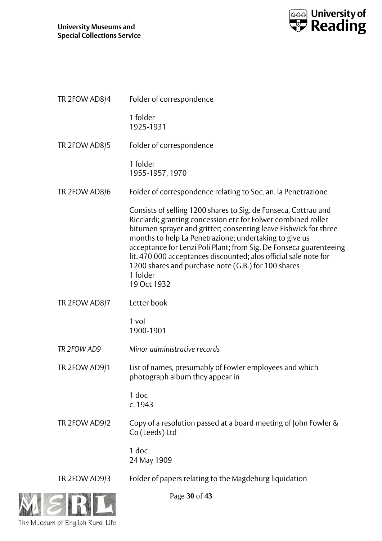

|               | Page 30 of 43                                                                                                                                                                                                                                                                                                                                                                                                                                                                              |
|---------------|--------------------------------------------------------------------------------------------------------------------------------------------------------------------------------------------------------------------------------------------------------------------------------------------------------------------------------------------------------------------------------------------------------------------------------------------------------------------------------------------|
| TR 2FOW AD9/3 | Folder of papers relating to the Magdeburg liquidation                                                                                                                                                                                                                                                                                                                                                                                                                                     |
|               | 1 doc<br>24 May 1909                                                                                                                                                                                                                                                                                                                                                                                                                                                                       |
| TR 2FOW AD9/2 | Copy of a resolution passed at a board meeting of John Fowler &<br>Co (Leeds) Ltd                                                                                                                                                                                                                                                                                                                                                                                                          |
|               | 1 doc<br>c. 1943                                                                                                                                                                                                                                                                                                                                                                                                                                                                           |
| TR 2FOW AD9/1 | List of names, presumably of Fowler employees and which<br>photograph album they appear in                                                                                                                                                                                                                                                                                                                                                                                                 |
| TR 2FOW AD9   | Minor administrative records                                                                                                                                                                                                                                                                                                                                                                                                                                                               |
|               | 1 vol<br>1900-1901                                                                                                                                                                                                                                                                                                                                                                                                                                                                         |
| TR 2FOW AD8/7 | Letter book                                                                                                                                                                                                                                                                                                                                                                                                                                                                                |
|               | Consists of selling 1200 shares to Sig. de Fonseca, Cottrau and<br>Ricciardi; granting concession etc for Folwer combined roller<br>bitumen sprayer and gritter; consenting leave Fishwick for three<br>months to help La Penetrazione; undertaking to give us<br>acceptance for Lenzi Poli Plant; from Sig. De Fonseca guarenteeing<br>lit. 470 000 acceptances discounted; alos official sale note for<br>1200 shares and purchase note (G.B.) for 100 shares<br>1 folder<br>19 Oct 1932 |
| TR 2FOW AD8/6 | Folder of correspondence relating to Soc. an. la Penetrazione                                                                                                                                                                                                                                                                                                                                                                                                                              |
|               | 1 folder<br>1955-1957, 1970                                                                                                                                                                                                                                                                                                                                                                                                                                                                |
| TR 2FOW AD8/5 | Folder of correspondence                                                                                                                                                                                                                                                                                                                                                                                                                                                                   |
|               | 1 folder<br>1925-1931                                                                                                                                                                                                                                                                                                                                                                                                                                                                      |
| TR 2FOW AD8/4 | Folder of correspondence                                                                                                                                                                                                                                                                                                                                                                                                                                                                   |



Page **30** of **43**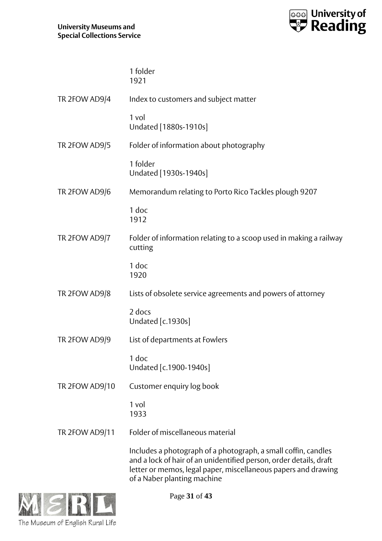

|                | 1 folder<br>1921                                                                                                                                                                                       |
|----------------|--------------------------------------------------------------------------------------------------------------------------------------------------------------------------------------------------------|
| TR 2FOW AD9/4  | Index to customers and subject matter                                                                                                                                                                  |
|                | 1 vol<br>Undated [1880s-1910s]                                                                                                                                                                         |
| TR 2FOW AD9/5  | Folder of information about photography                                                                                                                                                                |
|                | 1 folder<br>Undated [1930s-1940s]                                                                                                                                                                      |
| TR 2FOW AD9/6  | Memorandum relating to Porto Rico Tackles plough 9207                                                                                                                                                  |
|                | 1 doc<br>1912                                                                                                                                                                                          |
| TR 2FOW AD9/7  | Folder of information relating to a scoop used in making a railway<br>cutting                                                                                                                          |
|                | 1 doc<br>1920                                                                                                                                                                                          |
| TR 2FOW AD9/8  | Lists of obsolete service agreements and powers of attorney                                                                                                                                            |
|                | 2 docs<br>Undated [c.1930s]                                                                                                                                                                            |
| TR 2FOW AD9/9  | List of departments at Fowlers                                                                                                                                                                         |
|                | 1 doc<br>Undated [c.1900-1940s]                                                                                                                                                                        |
| TR 2FOW AD9/10 | Customer enquiry log book                                                                                                                                                                              |
|                | 1 vol<br>1933                                                                                                                                                                                          |
| TR 2FOW AD9/11 | Folder of miscellaneous material                                                                                                                                                                       |
|                | Includes a photograph of a photograph, a small coffin, candles<br>and a lock of hair of an unidentified person, order details, draft<br>letter or memos, legal paper, miscellaneous papers and drawing |



Page **31** of **43**

of a Naber planting machine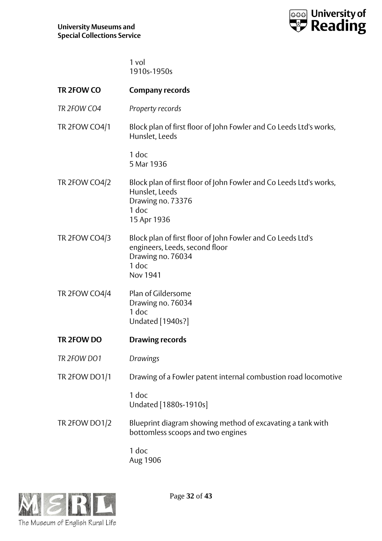

1 vol 1910s-1950s

| TR 2FOW CO    | <b>Company records</b>                                                                                                                           |
|---------------|--------------------------------------------------------------------------------------------------------------------------------------------------|
| TR 2FOW CO4   | Property records                                                                                                                                 |
| TR 2FOW CO4/1 | Block plan of first floor of John Fowler and Co Leeds Ltd's works,<br>Hunslet, Leeds                                                             |
|               | 1 doc<br>5 Mar 1936                                                                                                                              |
| TR 2FOW CO4/2 | Block plan of first floor of John Fowler and Co Leeds Ltd's works,<br>Hunslet, Leeds<br>Drawing no. 73376<br>1 doc<br>15 Apr 1936                |
| TR 2FOW CO4/3 | Block plan of first floor of John Fowler and Co Leeds Ltd's<br>engineers, Leeds, second floor<br>Drawing no. 76034<br>$1$ doc<br><b>Nov 1941</b> |
| TR 2FOW CO4/4 | Plan of Gildersome<br>Drawing no. 76034<br>1 doc<br>Undated [1940s?]                                                                             |
| TR 2FOW DO    | <b>Drawing records</b>                                                                                                                           |
| TR 2FOW DO1   | Drawings                                                                                                                                         |
| TR 2FOW DO1/1 | Drawing of a Fowler patent internal combustion road locomotive                                                                                   |
|               | 1 doc<br>Undated [1880s-1910s]                                                                                                                   |
| TR 2FOW DO1/2 | Blueprint diagram showing method of excavating a tank with<br>bottomless scoops and two engines                                                  |
|               | 1 doc<br>Aug 1906                                                                                                                                |

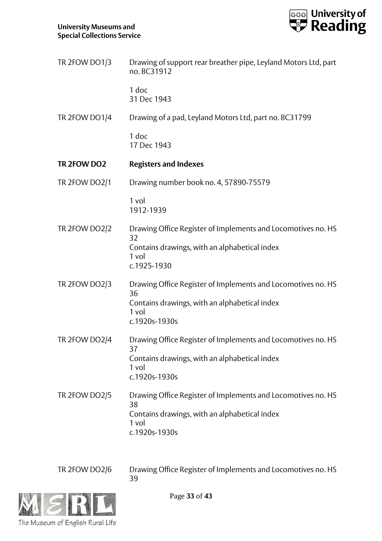

| TR 2FOW DO1/3 | Drawing of support rear breather pipe, Leyland Motors Ltd, part<br>no. BC31912 |
|---------------|--------------------------------------------------------------------------------|
|               | 1 doc<br>31 Dec 1943                                                           |
| TR 2FOW DO1/4 | Drawing of a pad, Leyland Motors Ltd, part no. BC31799                         |
|               | 1 doc<br>17 Dec 1943                                                           |
| TR 2FOW DO2   | <b>Registers and Indexes</b>                                                   |
| TR 2FOW DO2/1 | Drawing number book no. 4, 57890-75579                                         |
|               | 1 vol<br>1912-1939                                                             |
| TR 2FOW DO2/2 | Drawing Office Register of Implements and Locomotives no. HS<br>32             |
|               | Contains drawings, with an alphabetical index<br>$1$ vol<br>c.1925-1930        |
| TR 2FOW DO2/3 | Drawing Office Register of Implements and Locomotives no. HS<br>36             |
|               | Contains drawings, with an alphabetical index<br>$1$ vol                       |
|               | c.1920s-1930s                                                                  |
| TR 2FOW DO2/4 | Drawing Office Register of Implements and Locomotives no. HS<br>37             |
|               | Contains drawings, with an alphabetical index<br>1 vol<br>c.1920s-1930s        |
| TR 2FOW DO2/5 | Drawing Office Register of Implements and Locomotives no. HS<br>38             |
|               | Contains drawings, with an alphabetical index<br>1 vol                         |
|               | c.1920s-1930s                                                                  |

TR 2FOW DO2/6 Drawing Office Register of Implements and Locomotives no. HS 39



Page **33** of **43**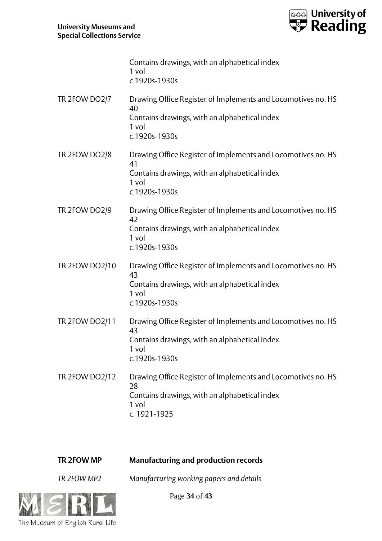

|                | Contains drawings, with an alphabetical index<br>1 vol<br>c.1920s-1930s                                                                                        |
|----------------|----------------------------------------------------------------------------------------------------------------------------------------------------------------|
| TR 2FOW DO2/7  | Drawing Office Register of Implements and Locomotives no. HS<br>40<br>Contains drawings, with an alphabetical index<br>1 vol                                   |
| TR 2FOW DO2/8  | c.1920s-1930s<br>Drawing Office Register of Implements and Locomotives no. HS<br>41<br>Contains drawings, with an alphabetical index<br>1 vol<br>c.1920s-1930s |
| TR 2FOW DO2/9  | Drawing Office Register of Implements and Locomotives no. HS<br>42<br>Contains drawings, with an alphabetical index<br>1 vol<br>c.1920s-1930s                  |
| TR 2FOW DO2/10 | Drawing Office Register of Implements and Locomotives no. HS<br>43<br>Contains drawings, with an alphabetical index<br>1 vol<br>c.1920s-1930s                  |
| TR 2FOW DO2/11 | Drawing Office Register of Implements and Locomotives no. HS<br>43<br>Contains drawings, with an alphabetical index<br>1 vol<br>c.1920s-1930s                  |
| TR 2FOW DO2/12 | Drawing Office Register of Implements and Locomotives no. HS<br>28<br>Contains drawings, with an alphabetical index<br>1 vol<br>c. 1921-1925                   |

## **TR 2FOW MP Manufacturing and production records**

*TR 2FOW MP2 Manufacturing working papers and details*



Page **34** of **43**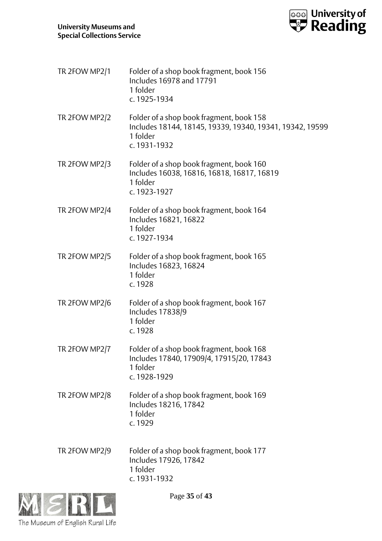

| TR 2FOW MP2/1 | Folder of a shop book fragment, book 156<br>Includes 16978 and 17791<br>1 folder<br>c. 1925-1934                                 |
|---------------|----------------------------------------------------------------------------------------------------------------------------------|
| TR 2FOW MP2/2 | Folder of a shop book fragment, book 158<br>Includes 18144, 18145, 19339, 19340, 19341, 19342, 19599<br>1 folder<br>c. 1931-1932 |
| TR 2FOW MP2/3 | Folder of a shop book fragment, book 160<br>Includes 16038, 16816, 16818, 16817, 16819<br>1 folder<br>c. 1923-1927               |
| TR 2FOW MP2/4 | Folder of a shop book fragment, book 164<br>Includes 16821, 16822<br>1 folder<br>c. 1927-1934                                    |
| TR 2FOW MP2/5 | Folder of a shop book fragment, book 165<br>Includes 16823, 16824<br>1 folder<br>c. 1928                                         |
| TR 2FOW MP2/6 | Folder of a shop book fragment, book 167<br>Includes 17838/9<br>1 folder<br>c. 1928                                              |
| TR 2FOW MP2/7 | Folder of a shop book fragment, book 168<br>Includes 17840, 17909/4, 17915/20, 17843<br>1 folder<br>c. 1928-1929                 |
| TR 2FOW MP2/8 | Folder of a shop book fragment, book 169<br>Includes 18216, 17842<br>1 folder<br>c. 1929                                         |
| TR 2FOW MP2/9 | Folder of a shop book fragment, book 177<br>Includes 17926, 17842<br>1 folder<br>c. 1931-1932                                    |



Page **35** of **43**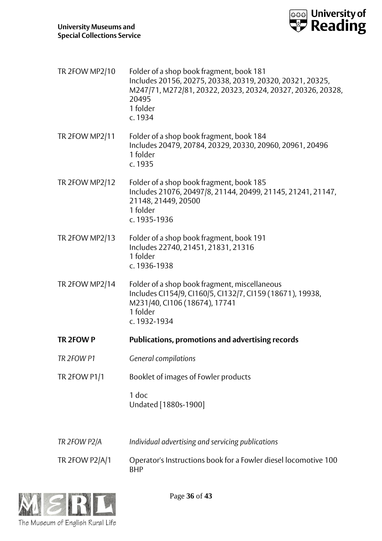

| Folder of a shop book fragment, book 181<br>Includes 20156, 20275, 20338, 20319, 20320, 20321, 20325,<br>M247/71, M272/81, 20322, 20323, 20324, 20327, 20326, 20328,<br>20495<br>1 folder<br>c. 1934 |
|------------------------------------------------------------------------------------------------------------------------------------------------------------------------------------------------------|
| Folder of a shop book fragment, book 184<br>Includes 20479, 20784, 20329, 20330, 20960, 20961, 20496<br>1 folder<br>c. 1935                                                                          |
| Folder of a shop book fragment, book 185<br>Includes 21076, 20497/8, 21144, 20499, 21145, 21241, 21147,<br>21148, 21449, 20500<br>1 folder<br>c. 1935-1936                                           |
| Folder of a shop book fragment, book 191<br>Includes 22740, 21451, 21831, 21316<br>1 folder<br>c. 1936-1938                                                                                          |
| Folder of a shop book fragment, miscellaneous<br>Includes CI154/9, CI160/5, CI132/7, CI159 (18671), 19938,<br>M231/40, Cl106 (18674), 17741<br>1 folder<br>c. 1932-1934                              |
| <b>Publications, promotions and advertising records</b>                                                                                                                                              |
| General compilations                                                                                                                                                                                 |
| Booklet of images of Fowler products                                                                                                                                                                 |
| 1 doc<br>Undated [1880s-1900]                                                                                                                                                                        |
| Individual advertising and servicing publications                                                                                                                                                    |
|                                                                                                                                                                                                      |
|                                                                                                                                                                                                      |



Page **36** of **43**

BHP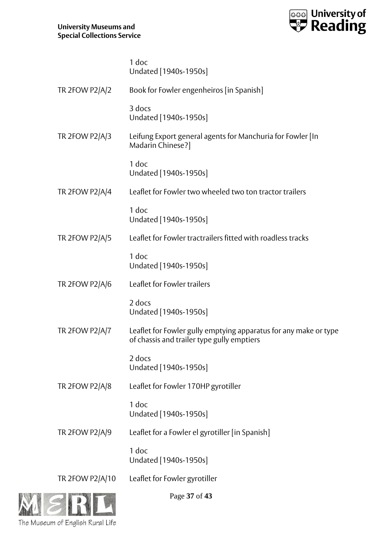

|                 | 1 doc<br>Undated [1940s-1950s]                                                                                 |
|-----------------|----------------------------------------------------------------------------------------------------------------|
| TR 2FOW P2/A/2  | Book for Fowler engenheiros [in Spanish]                                                                       |
|                 | 3 docs<br>Undated [1940s-1950s]                                                                                |
| TR 2FOW P2/A/3  | Leifung Export general agents for Manchuria for Fowler [In<br>Madarin Chinese?]                                |
|                 | 1 doc<br>Undated [1940s-1950s]                                                                                 |
| TR 2FOW P2/A/4  | Leaflet for Fowler two wheeled two ton tractor trailers                                                        |
|                 | 1 doc<br>Undated [1940s-1950s]                                                                                 |
| TR 2FOW P2/A/5  | Leaflet for Fowler tractrailers fitted with roadless tracks                                                    |
|                 | 1 doc<br>Undated [1940s-1950s]                                                                                 |
| TR 2FOW P2/A/6  | Leaflet for Fowler trailers                                                                                    |
|                 | 2 docs<br>Undated [1940s-1950s]                                                                                |
| TR 2FOW P2/A/7  | Leaflet for Fowler gully emptying apparatus for any make or type<br>of chassis and trailer type gully emptiers |
|                 | 2 docs<br>Undated [1940s-1950s]                                                                                |
| TR 2FOW P2/A/8  | Leaflet for Fowler 170HP gyrotiller                                                                            |
|                 | 1 doc<br>Undated [1940s-1950s]                                                                                 |
| TR 2FOW P2/A/9  | Leaflet for a Fowler el gyrotiller [in Spanish]                                                                |
|                 | 1 doc<br>Undated [1940s-1950s]                                                                                 |
| TR 2FOW P2/A/10 | Leaflet for Fowler gyrotiller                                                                                  |
|                 |                                                                                                                |



Page **37** of **43**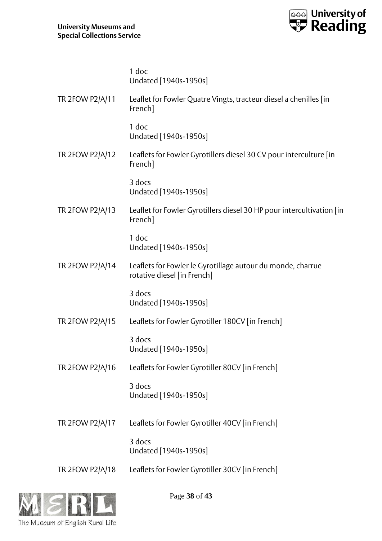

|                 | 1 doc<br>Undated [1940s-1950s]                                                             |
|-----------------|--------------------------------------------------------------------------------------------|
| TR 2FOW P2/A/11 | Leaflet for Fowler Quatre Vingts, tracteur diesel a chenilles [in<br>French]               |
|                 | 1 doc<br>Undated [1940s-1950s]                                                             |
| TR 2FOW P2/A/12 | Leaflets for Fowler Gyrotillers diesel 30 CV pour interculture [in<br>French]              |
|                 | 3 docs<br>Undated [1940s-1950s]                                                            |
| TR 2FOW P2/A/13 | Leaflet for Fowler Gyrotillers diesel 30 HP pour intercultivation [in<br>French]           |
|                 | 1 doc<br>Undated [1940s-1950s]                                                             |
| TR 2FOW P2/A/14 | Leaflets for Fowler le Gyrotillage autour du monde, charrue<br>rotative diesel [in French] |
|                 | 3 docs<br>Undated [1940s-1950s]                                                            |
| TR 2FOW P2/A/15 | Leaflets for Fowler Gyrotiller 180CV [in French]                                           |
|                 | 3 docs<br>Undated [1940s-1950s]                                                            |
| TR 2FOW P2/A/16 | Leaflets for Fowler Gyrotiller 80CV [in French]                                            |
|                 | 3 docs<br>Undated [1940s-1950s]                                                            |
| TR 2FOW P2/A/17 | Leaflets for Fowler Gyrotiller 40CV [in French]                                            |
|                 | 3 docs<br>Undated [1940s-1950s]                                                            |
| TR 2FOW P2/A/18 | Leaflets for Fowler Gyrotiller 30CV [in French]                                            |
|                 |                                                                                            |



Page **38** of **43**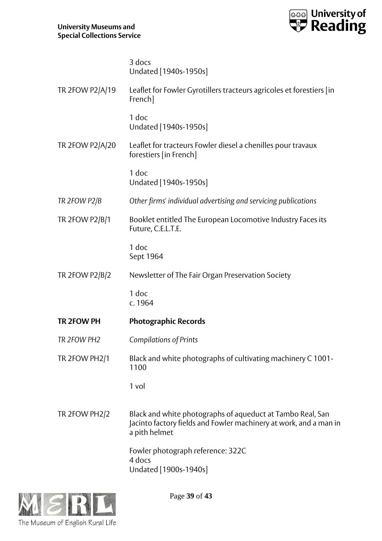

3 docs Undated [1940s-1950s]

| TR 2FOW P2/A/19 | Leaflet for Fowler Gyrotillers tracteurs agricoles et forestiers [in] |
|-----------------|-----------------------------------------------------------------------|
|                 | French]                                                               |

1 doc Undated [1940s-1950s]

TR 2FOW P2/A/20 Leaflet for tracteurs Fowler diesel a chenilles pour travaux forestiers [in French]

> 1 doc Undated [1940s-1950s]

- *TR 2FOW P2/B Other firms' individual advertising and servicing publications*
- TR 2FOW P2/B/1 Booklet entitled The European Locomotive Industry Faces its Future, C.E.L.T.E.

1 doc Sept 1964

TR 2FOW P2/B/2 Newsletter of The Fair Organ Preservation Society

1 doc c. 1964

- **TR 2FOW PH Photographic Records**
- *TR 2FOW PH2 Compilations of Prints*
- TR 2FOW PH2/1 Black and white photographs of cultivating machinery C 1001- 1100

1 vol

TR 2FOW PH2/2 Black and white photographs of aqueduct at Tambo Real, San Jacinto factory fields and Fowler machinery at work, and a man in a pith helmet

> Fowler photograph reference: 322C 4 docs Undated [1900s-1940s]



Page **39** of **43**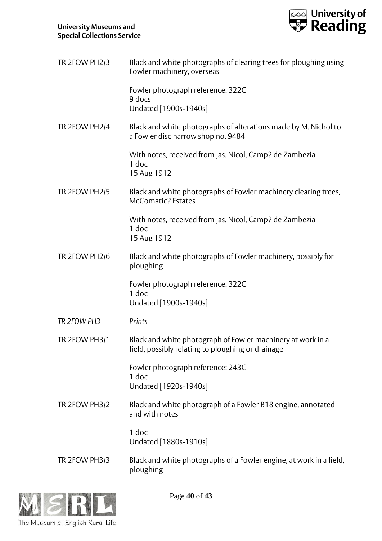

| TR 2FOW PH2/3 | Black and white photographs of clearing trees for ploughing using<br>Fowler machinery, overseas                  |
|---------------|------------------------------------------------------------------------------------------------------------------|
|               | Fowler photograph reference: 322C<br>9 docs<br>Undated [1900s-1940s]                                             |
| TR 2FOW PH2/4 | Black and white photographs of alterations made by M. Nichol to<br>a Fowler disc harrow shop no. 9484            |
|               | With notes, received from Jas. Nicol, Camp? de Zambezia<br>1 doc<br>15 Aug 1912                                  |
| TR 2FOW PH2/5 | Black and white photographs of Fowler machinery clearing trees,<br><b>McComatic?</b> Estates                     |
|               | With notes, received from Jas. Nicol, Camp? de Zambezia<br>1 doc<br>15 Aug 1912                                  |
| TR 2FOW PH2/6 | Black and white photographs of Fowler machinery, possibly for<br>ploughing                                       |
|               | Fowler photograph reference: 322C<br>1 doc<br>Undated [1900s-1940s]                                              |
| TR 2FOW PH3   | Prints                                                                                                           |
| TR 2FOW PH3/1 | Black and white photograph of Fowler machinery at work in a<br>field, possibly relating to ploughing or drainage |
|               | Fowler photograph reference: 243C<br>1 doc<br>Undated [1920s-1940s]                                              |
| TR 2FOW PH3/2 | Black and white photograph of a Fowler B18 engine, annotated<br>and with notes                                   |
|               | 1 doc<br>Undated [1880s-1910s]                                                                                   |
| TR 2FOW PH3/3 | Black and white photographs of a Fowler engine, at work in a field,<br>ploughing                                 |



Page **40** of **43**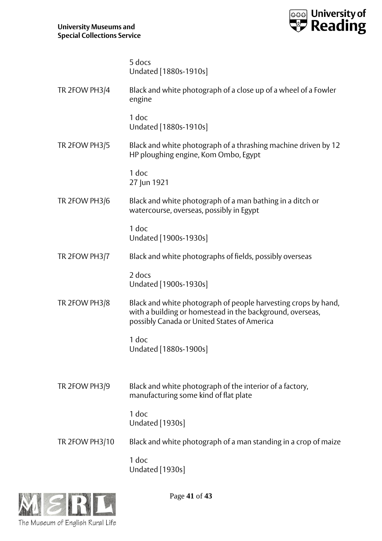

|                | 5 docs<br>Undated [1880s-1910s]                                                                                                                                            |
|----------------|----------------------------------------------------------------------------------------------------------------------------------------------------------------------------|
| TR 2FOW PH3/4  | Black and white photograph of a close up of a wheel of a Fowler<br>engine                                                                                                  |
|                | 1 doc<br>Undated [1880s-1910s]                                                                                                                                             |
| TR 2FOW PH3/5  | Black and white photograph of a thrashing machine driven by 12<br>HP ploughing engine, Kom Ombo, Egypt                                                                     |
|                | 1 doc<br>27 Jun 1921                                                                                                                                                       |
| TR 2FOW PH3/6  | Black and white photograph of a man bathing in a ditch or<br>watercourse, overseas, possibly in Egypt                                                                      |
|                | 1 doc<br>Undated [1900s-1930s]                                                                                                                                             |
| TR 2FOW PH3/7  | Black and white photographs of fields, possibly overseas                                                                                                                   |
|                | 2 docs<br>Undated [1900s-1930s]                                                                                                                                            |
| TR 2FOW PH3/8  | Black and white photograph of people harvesting crops by hand,<br>with a building or homestead in the background, overseas,<br>possibly Canada or United States of America |
|                | 1 doc<br>Undated [1880s-1900s]                                                                                                                                             |
|                |                                                                                                                                                                            |
| TR 2FOW PH3/9  | Black and white photograph of the interior of a factory,<br>manufacturing some kind of flat plate                                                                          |
|                | 1 doc<br><b>Undated</b> [1930s]                                                                                                                                            |
| TR 2FOW PH3/10 | Black and white photograph of a man standing in a crop of maize                                                                                                            |
|                | 1 doc<br>Undated [1930s]                                                                                                                                                   |



Page **41** of **43**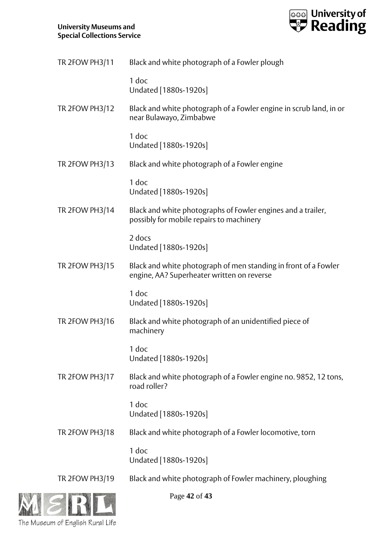

| TR 2FOW PH3/11        | Black and white photograph of a Fowler plough                                                                 |
|-----------------------|---------------------------------------------------------------------------------------------------------------|
|                       | 1 doc<br>Undated [1880s-1920s]                                                                                |
| <b>TR 2FOW PH3/12</b> | Black and white photograph of a Fowler engine in scrub land, in or<br>near Bulawayo, Zimbabwe                 |
|                       | 1 doc<br>Undated [1880s-1920s]                                                                                |
| <b>TR 2FOW PH3/13</b> | Black and white photograph of a Fowler engine                                                                 |
|                       | 1 doc<br>Undated [1880s-1920s]                                                                                |
| TR 2FOW PH3/14        | Black and white photographs of Fowler engines and a trailer,<br>possibly for mobile repairs to machinery      |
|                       | 2 docs<br>Undated [1880s-1920s]                                                                               |
| <b>TR 2FOW PH3/15</b> | Black and white photograph of men standing in front of a Fowler<br>engine, AA? Superheater written on reverse |
|                       | 1 doc<br>Undated [1880s-1920s]                                                                                |
| <b>TR 2FOW PH3/16</b> | Black and white photograph of an unidentified piece of<br>machinery                                           |
|                       | 1 doc<br>Undated [1880s-1920s]                                                                                |
| TR 2FOW PH3/17        | Black and white photograph of a Fowler engine no. 9852, 12 tons,<br>road roller?                              |
|                       | 1 doc<br>Undated [1880s-1920s]                                                                                |
| <b>TR 2FOW PH3/18</b> | Black and white photograph of a Fowler locomotive, torn                                                       |
|                       | 1 doc<br>Undated [1880s-1920s]                                                                                |
| TR 2FOW PH3/19        | Black and white photograph of Fowler machinery, ploughing                                                     |
|                       |                                                                                                               |



Page **42** of **43**